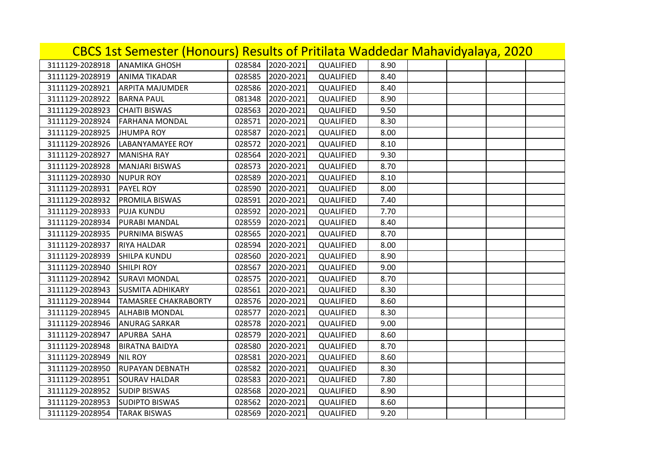| CBCS 1st Semester (Honours) Results of Pritilata Waddedar Mahavidyalaya, 2020 |                             |        |           |           |      |  |  |  |
|-------------------------------------------------------------------------------|-----------------------------|--------|-----------|-----------|------|--|--|--|
| 3111129-2028918                                                               | <b>ANAMIKA GHOSH</b>        | 028584 | 2020-2021 | QUALIFIED | 8.90 |  |  |  |
| 3111129-2028919                                                               | <b>ANIMA TIKADAR</b>        | 028585 | 2020-2021 | QUALIFIED | 8.40 |  |  |  |
| 3111129-2028921                                                               | <b>ARPITA MAJUMDER</b>      | 028586 | 2020-2021 | QUALIFIED | 8.40 |  |  |  |
| 3111129-2028922                                                               | <b>BARNA PAUL</b>           | 081348 | 2020-2021 | QUALIFIED | 8.90 |  |  |  |
| 3111129-2028923                                                               | <b>CHAITI BISWAS</b>        | 028563 | 2020-2021 | QUALIFIED | 9.50 |  |  |  |
| 3111129-2028924                                                               | <b>FARHANA MONDAL</b>       | 028571 | 2020-2021 | QUALIFIED | 8.30 |  |  |  |
| 3111129-2028925                                                               | <b>JHUMPA ROY</b>           | 028587 | 2020-2021 | QUALIFIED | 8.00 |  |  |  |
| 3111129-2028926                                                               | <b>LABANYAMAYEE ROY</b>     | 028572 | 2020-2021 | QUALIFIED | 8.10 |  |  |  |
| 3111129-2028927                                                               | <b>MANISHA RAY</b>          | 028564 | 2020-2021 | QUALIFIED | 9.30 |  |  |  |
| 3111129-2028928                                                               | <b>MANJARI BISWAS</b>       | 028573 | 2020-2021 | QUALIFIED | 8.70 |  |  |  |
| 3111129-2028930                                                               | <b>NUPUR ROY</b>            | 028589 | 2020-2021 | QUALIFIED | 8.10 |  |  |  |
| 3111129-2028931                                                               | <b>PAYEL ROY</b>            | 028590 | 2020-2021 | QUALIFIED | 8.00 |  |  |  |
| 3111129-2028932                                                               | <b>PROMILA BISWAS</b>       | 028591 | 2020-2021 | QUALIFIED | 7.40 |  |  |  |
| 3111129-2028933                                                               | <b>PUJA KUNDU</b>           | 028592 | 2020-2021 | QUALIFIED | 7.70 |  |  |  |
| 3111129-2028934                                                               | <b>PURABI MANDAL</b>        | 028559 | 2020-2021 | QUALIFIED | 8.40 |  |  |  |
| 3111129-2028935                                                               | PURNIMA BISWAS              | 028565 | 2020-2021 | QUALIFIED | 8.70 |  |  |  |
| 3111129-2028937                                                               | <b>RIYA HALDAR</b>          | 028594 | 2020-2021 | QUALIFIED | 8.00 |  |  |  |
| 3111129-2028939                                                               | <b>SHILPA KUNDU</b>         | 028560 | 2020-2021 | QUALIFIED | 8.90 |  |  |  |
| 3111129-2028940                                                               | <b>SHILPI ROY</b>           | 028567 | 2020-2021 | QUALIFIED | 9.00 |  |  |  |
| 3111129-2028942                                                               | <b>SURAVI MONDAL</b>        | 028575 | 2020-2021 | QUALIFIED | 8.70 |  |  |  |
| 3111129-2028943                                                               | <b>SUSMITA ADHIKARY</b>     | 028561 | 2020-2021 | QUALIFIED | 8.30 |  |  |  |
| 3111129-2028944                                                               | <b>TAMASREE CHAKRABORTY</b> | 028576 | 2020-2021 | QUALIFIED | 8.60 |  |  |  |
| 3111129-2028945                                                               | <b>ALHABIB MONDAL</b>       | 028577 | 2020-2021 | QUALIFIED | 8.30 |  |  |  |
| 3111129-2028946                                                               | <b>ANURAG SARKAR</b>        | 028578 | 2020-2021 | QUALIFIED | 9.00 |  |  |  |
| 3111129-2028947                                                               | APURBA SAHA                 | 028579 | 2020-2021 | QUALIFIED | 8.60 |  |  |  |
| 3111129-2028948                                                               | <b>BIRATNA BAIDYA</b>       | 028580 | 2020-2021 | QUALIFIED | 8.70 |  |  |  |
| 3111129-2028949                                                               | <b>NIL ROY</b>              | 028581 | 2020-2021 | QUALIFIED | 8.60 |  |  |  |
| 3111129-2028950                                                               | <b>RUPAYAN DEBNATH</b>      | 028582 | 2020-2021 | QUALIFIED | 8.30 |  |  |  |
| 3111129-2028951                                                               | <b>SOURAV HALDAR</b>        | 028583 | 2020-2021 | QUALIFIED | 7.80 |  |  |  |
| 3111129-2028952                                                               | <b>SUDIP BISWAS</b>         | 028568 | 2020-2021 | QUALIFIED | 8.90 |  |  |  |
| 3111129-2028953                                                               | <b>SUDIPTO BISWAS</b>       | 028562 | 2020-2021 | QUALIFIED | 8.60 |  |  |  |
| 3111129-2028954                                                               | <b>TARAK BISWAS</b>         | 028569 | 2020-2021 | QUALIFIED | 9.20 |  |  |  |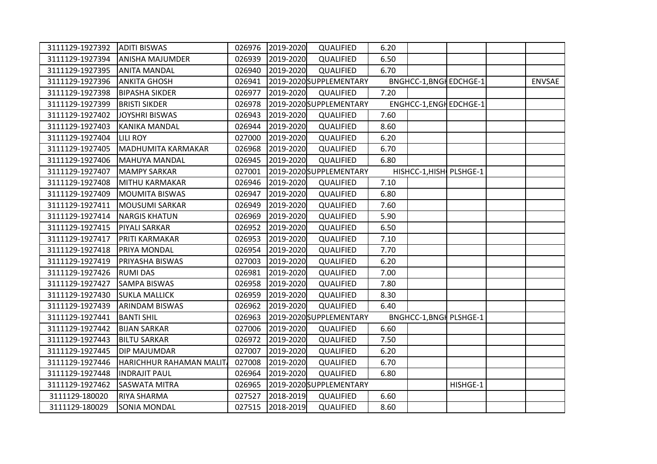| 3111129-1927392 | <b>ADITI BISWAS</b>     | 026976 | 2019-2020 | QUALIFIED               | 6.20 |                                |          |               |
|-----------------|-------------------------|--------|-----------|-------------------------|------|--------------------------------|----------|---------------|
| 3111129-1927394 | <b>ANISHA MAJUMDER</b>  | 026939 | 2019-2020 | QUALIFIED               | 6.50 |                                |          |               |
| 3111129-1927395 | <b>ANITA MANDAL</b>     | 026940 | 2019-2020 | QUALIFIED               | 6.70 |                                |          |               |
| 3111129-1927396 | <b>ANKITA GHOSH</b>     | 026941 |           | 2019-2020 SUPPLEMENTARY |      | <b>BNGHCC-1, BNGH EDCHGE-1</b> |          | <b>ENVSAE</b> |
| 3111129-1927398 | <b>BIPASHA SIKDER</b>   | 026977 | 2019-2020 | QUALIFIED               | 7.20 |                                |          |               |
| 3111129-1927399 | <b>BRISTI SIKDER</b>    | 026978 |           | 2019-2020 SUPPLEMENTARY |      | ENGHCC-1, ENGH EDCHGE-1        |          |               |
| 3111129-1927402 | <b>JOYSHRI BISWAS</b>   | 026943 | 2019-2020 | QUALIFIED               | 7.60 |                                |          |               |
| 3111129-1927403 | <b>KANIKA MANDAL</b>    | 026944 | 2019-2020 | QUALIFIED               | 8.60 |                                |          |               |
| 3111129-1927404 | LILI ROY                | 027000 | 2019-2020 | QUALIFIED               | 6.20 |                                |          |               |
| 3111129-1927405 | MADHUMITA KARMAKAR      | 026968 | 2019-2020 | QUALIFIED               | 6.70 |                                |          |               |
| 3111129-1927406 | <b>MAHUYA MANDAL</b>    | 026945 | 2019-2020 | QUALIFIED               | 6.80 |                                |          |               |
| 3111129-1927407 | <b>MAMPY SARKAR</b>     | 027001 |           | 2019-2020 SUPPLEMENTARY |      | HISHCC-1, HISH PLSHGE-1        |          |               |
| 3111129-1927408 | MITHU KARMAKAR          | 026946 | 2019-2020 | QUALIFIED               | 7.10 |                                |          |               |
| 3111129-1927409 | <b>MOUMITA BISWAS</b>   | 026947 | 2019-2020 | QUALIFIED               | 6.80 |                                |          |               |
| 3111129-1927411 | <b>MOUSUMI SARKAR</b>   | 026949 | 2019-2020 | QUALIFIED               | 7.60 |                                |          |               |
| 3111129-1927414 | <b>NARGIS KHATUN</b>    | 026969 | 2019-2020 | QUALIFIED               | 5.90 |                                |          |               |
| 3111129-1927415 | PIYALI SARKAR           | 026952 | 2019-2020 | QUALIFIED               | 6.50 |                                |          |               |
| 3111129-1927417 | PRITI KARMAKAR          | 026953 | 2019-2020 | QUALIFIED               | 7.10 |                                |          |               |
| 3111129-1927418 | PRIYA MONDAL            | 026954 | 2019-2020 | QUALIFIED               | 7.70 |                                |          |               |
| 3111129-1927419 | PRIYASHA BISWAS         | 027003 | 2019-2020 | QUALIFIED               | 6.20 |                                |          |               |
| 3111129-1927426 | <b>RUMI DAS</b>         | 026981 | 2019-2020 | QUALIFIED               | 7.00 |                                |          |               |
| 3111129-1927427 | <b>SAMPA BISWAS</b>     | 026958 | 2019-2020 | QUALIFIED               | 7.80 |                                |          |               |
| 3111129-1927430 | <b>SUKLA MALLICK</b>    | 026959 | 2019-2020 | QUALIFIED               | 8.30 |                                |          |               |
| 3111129-1927439 | <b>ARINDAM BISWAS</b>   | 026962 | 2019-2020 | QUALIFIED               | 6.40 |                                |          |               |
| 3111129-1927441 | <b>BANTI SHIL</b>       | 026963 |           | 2019-2020 SUPPLEMENTARY |      | <b>BNGHCC-1, BNGH PLSHGE-1</b> |          |               |
| 3111129-1927442 | <b>BIJAN SARKAR</b>     | 027006 | 2019-2020 | QUALIFIED               | 6.60 |                                |          |               |
| 3111129-1927443 | <b>BILTU SARKAR</b>     | 026972 | 2019-2020 | QUALIFIED               | 7.50 |                                |          |               |
| 3111129-1927445 | DIP MAJUMDAR            | 027007 | 2019-2020 | QUALIFIED               | 6.20 |                                |          |               |
| 3111129-1927446 | HARICHHUR RAHAMAN MALIT | 027008 | 2019-2020 | QUALIFIED               | 6.70 |                                |          |               |
| 3111129-1927448 | <b>INDRAJIT PAUL</b>    | 026964 | 2019-2020 | QUALIFIED               | 6.80 |                                |          |               |
| 3111129-1927462 | <b>SASWATA MITRA</b>    | 026965 |           | 2019-2020 SUPPLEMENTARY |      |                                | HISHGE-1 |               |
| 3111129-180020  | RIYA SHARMA             | 027527 | 2018-2019 | QUALIFIED               | 6.60 |                                |          |               |
| 3111129-180029  | <b>SONIA MONDAL</b>     | 027515 | 2018-2019 | QUALIFIED               | 8.60 |                                |          |               |